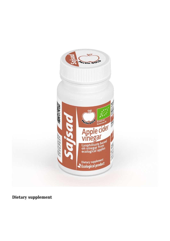

**Dietary supplement**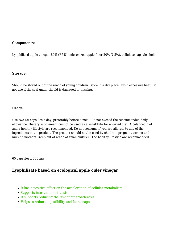### **Components:**

Lyophilized apple vinegar 80% (? 5%), micronized apple fiber 20% (? 5%), cellulose capsule shell.

#### **Storage:**

Should be stored out of the reach of young children. Store in a dry place, avoid excessive heat. Do not use if the seal under the lid is damaged or missing.

### **Usage:**

Use two (2) capsules a day, preferably before a meal. Do not exceed the recommended daily allowance. Dietary supplement cannot be used as a substitute for a varied diet. A balanced diet and a healthy lifestyle are recommended. Do not consume if you are allergic to any of the ingredients in the product. The product should not be used by children, pregnant women and nursing mothers. Keep out of reach of small children. The healthy lifestyle are recommended.

60 capsules x 300 mg

## **Lyophilisate based on ecological apple cider vinegar**

- It has a positive effect on the acceleration of cellular metabolism.
- Supports intestinal peristalsis.
- It supports reducing the risk of atherosclerosis.
- Helps to reduce digestibility and fat storage.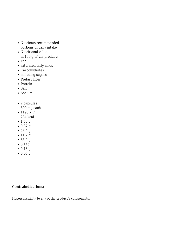- Nutrients recommended portions of daily intake
- Nutritional value in 100 g of the product:
- Fat
- saturated fatty acids
- Carbohydrates
- including sugars
- Dietary fiber
- Protein
- $\bullet$  Salt
- Sodium
- 2 capsules 300 mg each
- $\cdot$  1190 kJ/ 284 kcal
- 1,56 g
- $\bullet$  0,37 g
- 43,5 g
- $\cdot$  11,2 g
- 36,0 g
- $6,14g$
- $\bullet$  0,13 g
- $\cdot$  0,05 g

### **Contraindications:**

Hypersensitivity to any of the product's components.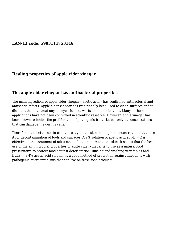## **EAN-13 code: 5903111753146**

# **Healing properties of apple cider vinegar**

## **The apple cider vinegar has antibacterial properties**

The main ingredient of apple cider vinegar – acetic acid – has confirmed antibacterial and antiseptic effects. Apple cider vinegar has traditionally been used to clean surfaces and to disinfect them, to treat onychomycosis, lice, warts and ear infections. Many of these applications have not been confirmed in scientific research. However, apple vinegar has been shown to inhibit the proliferation of pathogenic bacteria, but only at concentrations that can damage the dermis cells.

Therefore, it is better not to use it directly on the skin in a higher concentration, but to use it for decontamination of tools and surfaces. A 2% solution of acetic acid at  $p = 2$  is effective in the treatment of otitis media, but it can irritate the skin. It seems that the best use of the antimicrobial properties of apple cider vinegar is to use as a natural food preservative to protect food against deterioration. Rinsing and washing vegetables and fruits in a 4% acetic acid solution is a good method of protection against infections with pathogenic microorganisms that can live on fresh food products.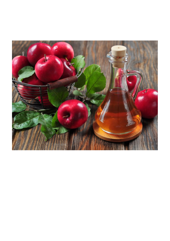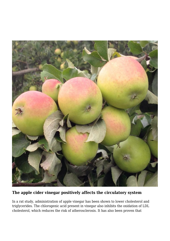

# **The apple cider vinegar positively affects the circulatory system**

In a rat study, administration of apple vinegar has been shown to lower cholesterol and triglycerides. The chlorogenic acid present in vinegar also inhibits the oxidation of LDL cholesterol, which reduces the risk of atherosclerosis. It has also been proven that